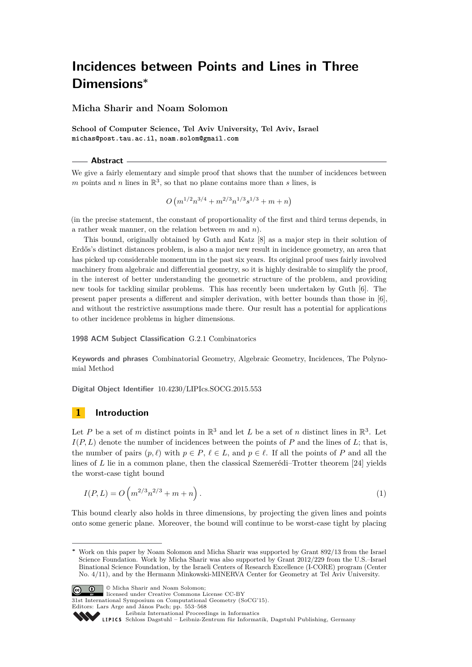**Micha Sharir and Noam Solomon**

**School of Computer Science, Tel Aviv University, Tel Aviv, Israel michas@post.tau.ac.il, noam.solom@gmail.com**

**Abstract**

We give a fairly elementary and simple proof that shows that the number of incidences between m points and n lines in  $\mathbb{R}^3$ , so that no plane contains more than s lines, is

$$
O\left(m^{1/2}n^{3/4} + m^{2/3}n^{1/3}s^{1/3} + m + n\right)
$$

(in the precise statement, the constant of proportionality of the first and third terms depends, in a rather weak manner, on the relation between *m* and *n*).

This bound, originally obtained by Guth and Katz [\[8\]](#page-14-0) as a major step in their solution of Erdős's distinct distances problem, is also a major new result in incidence geometry, an area that has picked up considerable momentum in the past six years. Its original proof uses fairly involved machinery from algebraic and differential geometry, so it is highly desirable to simplify the proof, in the interest of better understanding the geometric structure of the problem, and providing new tools for tackling similar problems. This has recently been undertaken by Guth [\[6\]](#page-14-1). The present paper presents a different and simpler derivation, with better bounds than those in [\[6\]](#page-14-1), and without the restrictive assumptions made there. Our result has a potential for applications to other incidence problems in higher dimensions.

**1998 ACM Subject Classification** G.2.1 Combinatorics

**Keywords and phrases** Combinatorial Geometry, Algebraic Geometry, Incidences, The Polynomial Method

**Digital Object Identifier** [10.4230/LIPIcs.SOCG.2015.553](http://dx.doi.org/10.4230/LIPIcs.SOCG.2015.553)

# **1 Introduction**

Let *P* be a set of *m* distinct points in  $\mathbb{R}^3$  and let *L* be a set of *n* distinct lines in  $\mathbb{R}^3$ . Let  $I(P, L)$  denote the number of incidences between the points of *P* and the lines of *L*; that is, the number of pairs  $(p, \ell)$  with  $p \in P$ ,  $\ell \in L$ , and  $p \in \ell$ . If all the points of *P* and all the lines of *L* lie in a common plane, then the classical Szemerédi–Trotter theorem [\[24\]](#page-14-2) yields the worst-case tight bound

<span id="page-0-0"></span>
$$
I(P, L) = O\left(m^{2/3}n^{2/3} + m + n\right).
$$
\n(1)

This bound clearly also holds in three dimensions, by projecting the given lines and points onto some generic plane. Moreover, the bound will continue to be worst-case tight by placing

**<sup>∗</sup>** Work on this paper by Noam Solomon and Micha Sharir was supported by Grant 892/13 from the Israel Science Foundation. Work by Micha Sharir was also supported by Grant 2012/229 from the U.S.–Israel Binational Science Foundation, by the Israeli Centers of Research Excellence (I-CORE) program (Center No. 4/11), and by the Hermann Minkowski-MINERVA Center for Geometry at Tel Aviv University.



© Micha Sharir and Noam Solomon; licensed under Creative Commons License CC-BY

31st International Symposium on Computational Geometry (SoCG'15).

Editors: Lars Arge and János Pach; pp. 553[–568](#page-15-0)

[Leibniz International Proceedings in Informatics](http://www.dagstuhl.de/lipics/)

[Schloss Dagstuhl – Leibniz-Zentrum für Informatik, Dagstuhl Publishing, Germany](http://www.dagstuhl.de)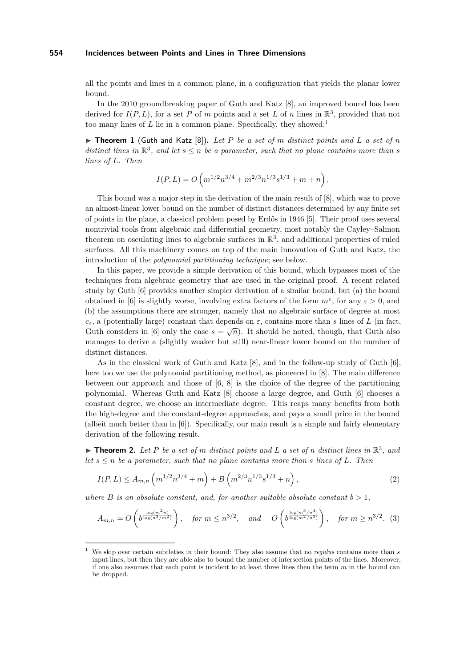all the points and lines in a common plane, in a configuration that yields the planar lower bound.

In the 2010 groundbreaking paper of Guth and Katz [\[8\]](#page-14-0), an improved bound has been derived for  $I(P, L)$ , for a set P of m points and a set L of n lines in  $\mathbb{R}^3$ , provided that not too many lines of  $L$  lie in a common plane. Specifically, they showed:<sup>[1](#page-1-0)</sup>

 $\triangleright$  **Theorem 1** (Guth and Katz [\[8\]](#page-14-0)). Let P be a set of m distinct points and L a set of n *distinct lines in*  $\mathbb{R}^3$ , and let  $s \leq n$  be a parameter, such that no plane contains more than s *lines of L. Then*

$$
I(P, L) = O\left(m^{1/2}n^{3/4} + m^{2/3}n^{1/3}s^{1/3} + m + n\right).
$$

This bound was a major step in the derivation of the main result of [\[8\]](#page-14-0), which was to prove an almost-linear lower bound on the number of distinct distances determined by any finite set of points in the plane, a classical problem posed by Erdős in 1946 [\[5\]](#page-14-3). Their proof uses several nontrivial tools from algebraic and differential geometry, most notably the Cayley–Salmon theorem on osculating lines to algebraic surfaces in  $\mathbb{R}^3$ , and additional properties of ruled surfaces. All this machinery comes on top of the main innovation of Guth and Katz, the introduction of the *polynomial partitioning technique*; see below.

In this paper, we provide a simple derivation of this bound, which bypasses most of the techniques from algebraic geometry that are used in the original proof. A recent related study by Guth [\[6\]](#page-14-1) provides another simpler derivation of a similar bound, but (a) the bound obtained in [\[6\]](#page-14-1) is slightly worse, involving extra factors of the form  $m^{\varepsilon}$ , for any  $\varepsilon > 0$ , and (b) the assumptions there are stronger, namely that no algebraic surface of degree at most  $c$ <sup>*ε*</sup>, a (potentially large) constant that depends on  $\varepsilon$ , contains more than *s* lines of *L* (in fact, Guth considers in [\[6\]](#page-14-1) only the case  $s = \sqrt{n}$ . It should be noted, though, that Guth also manages to derive a (slightly weaker but still) near-linear lower bound on the number of distinct distances.

As in the classical work of Guth and Katz [\[8\]](#page-14-0), and in the follow-up study of Guth [\[6\]](#page-14-1), here too we use the polynomial partitioning method, as pioneered in [\[8\]](#page-14-0). The main difference between our approach and those of  $[6, 8]$  $[6, 8]$  $[6, 8]$  is the choice of the degree of the partitioning polynomial. Whereas Guth and Katz [\[8\]](#page-14-0) choose a large degree, and Guth [\[6\]](#page-14-1) chooses a constant degree, we choose an intermediate degree. This reaps many benefits from both the high-degree and the constant-degree approaches, and pays a small price in the bound (albeit much better than in [\[6\]](#page-14-1)). Specifically, our main result is a simple and fairly elementary derivation of the following result.

<span id="page-1-3"></span> $\blacktriangleright$  **Theorem 2.** Let P be a set of m distinct points and L a set of n distinct lines in  $\mathbb{R}^3$ , and *let*  $s \leq n$  *be a parameter, such that no plane contains more than s lines of*  $L$ *. Then* 

<span id="page-1-2"></span><span id="page-1-1"></span>
$$
I(P, L) \le A_{m,n} \left( m^{1/2} n^{3/4} + m \right) + B \left( m^{2/3} n^{1/3} s^{1/3} + n \right), \tag{2}
$$

*where B is an absolute constant, and, for another suitable absolute constant*  $b > 1$ ,

$$
A_{m,n} = O\left(b^{\frac{\log(m^2 n)}{\log(n^3/m^2)}}\right), \quad \text{for } m \le n^{3/2}, \quad \text{and} \quad O\left(b^{\frac{\log(m^3/n^4)}{\log(m^2/n^3)}}\right), \quad \text{for } m \ge n^{3/2}. \tag{3}
$$

<span id="page-1-0"></span><sup>1</sup> We skip over certain subtleties in their bound: They also assume that no *regulus* contains more than *s* input lines, but then they are able also to bound the number of intersection points of the lines. Moreover, if one also assumes that each point is incident to at least three lines then the term *m* in the bound can be dropped.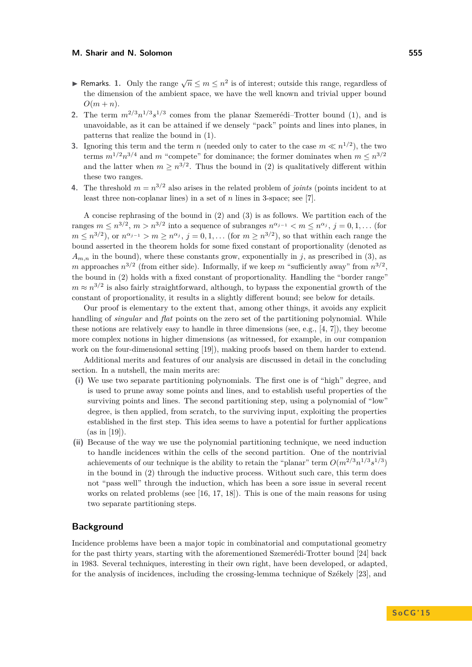- **► Remarks. 1.** Only the range  $\sqrt{n} \leq m \leq n^2$  is of interest; outside this range, regardless of the dimension of the ambient space, we have the well known and trivial upper bound  $O(m+n)$ .
- 2. The term  $m^{2/3}n^{1/3}s^{1/3}$  comes from the planar Szemerédi–Trotter bound [\(1\)](#page-0-0), and is unavoidable, as it can be attained if we densely "pack" points and lines into planes, in patterns that realize the bound in [\(1\)](#page-0-0).
- **3.** Ignoring this term and the term *n* (needed only to cater to the case  $m \ll n^{1/2}$ ), the two terms  $m^{1/2}n^{3/4}$  and *m* "compete" for dominance; the former dominates when  $m \leq n^{3/2}$ and the latter when  $m \geq n^{3/2}$ . Thus the bound in [\(2\)](#page-1-1) is qualitatively different within these two ranges.
- **4.** The threshold  $m = n^{3/2}$  also arises in the related problem of *joints* (points incident to at least three non-coplanar lines) in a set of *n* lines in 3-space; see [\[7\]](#page-14-4).

A concise rephrasing of the bound in [\(2\)](#page-1-1) and [\(3\)](#page-1-2) is as follows. We partition each of the ranges  $m \leq n^{3/2}, m > n^{3/2}$  into a sequence of subranges  $n^{\alpha_{j-1}} < m \leq n^{\alpha_j}, j = 0, 1, \ldots$  (for  $m \leq n^{3/2}$ , or  $n^{\alpha_{j-1}} > m \geq n^{\alpha_j}$ ,  $j = 0, 1, \ldots$  (for  $m \geq n^{3/2}$ ), so that within each range the bound asserted in the theorem holds for some fixed constant of proportionality (denoted as  $A_{m,n}$  in the bound), where these constants grow, exponentially in *j*, as prescribed in [\(3\)](#page-1-2), as *m* approaches  $n^{3/2}$  (from either side). Informally, if we keep *m* "sufficiently away" from  $n^{3/2}$ , the bound in [\(2\)](#page-1-1) holds with a fixed constant of proportionality. Handling the "border range"  $m \approx n^{3/2}$  is also fairly straightforward, although, to bypass the exponential growth of the constant of proportionality, it results in a slightly different bound; see below for details.

Our proof is elementary to the extent that, among other things, it avoids any explicit handling of *singular* and *flat* points on the zero set of the partitioning polynomial. While these notions are relatively easy to handle in three dimensions (see, e.g., [\[4,](#page-14-5) [7\]](#page-14-4)), they become more complex notions in higher dimensions (as witnessed, for example, in our companion work on the four-dimensional setting [\[19\]](#page-14-6)), making proofs based on them harder to extend.

Additional merits and features of our analysis are discussed in detail in the concluding section. In a nutshell, the main merits are:

- **(i)** We use two separate partitioning polynomials. The first one is of "high" degree, and is used to prune away some points and lines, and to establish useful properties of the surviving points and lines. The second partitioning step, using a polynomial of "low" degree, is then applied, from scratch, to the surviving input, exploiting the properties established in the first step. This idea seems to have a potential for further applications  $(as in [19]).$  $(as in [19]).$  $(as in [19]).$
- **(ii)** Because of the way we use the polynomial partitioning technique, we need induction to handle incidences within the cells of the second partition. One of the nontrivial achievements of our technique is the ability to retain the "planar" term  $O(m^{2/3}n^{1/3}s^{1/3})$ in the bound in [\(2\)](#page-1-1) through the inductive process. Without such care, this term does not "pass well" through the induction, which has been a sore issue in several recent works on related problems (see [\[16,](#page-14-7) [17,](#page-14-8) [18\]](#page-14-9)). This is one of the main reasons for using two separate partitioning steps.

## **Background**

Incidence problems have been a major topic in combinatorial and computational geometry for the past thirty years, starting with the aforementioned Szemerédi-Trotter bound [\[24\]](#page-14-2) back in 1983. Several techniques, interesting in their own right, have been developed, or adapted, for the analysis of incidences, including the crossing-lemma technique of Székely [\[23\]](#page-14-10), and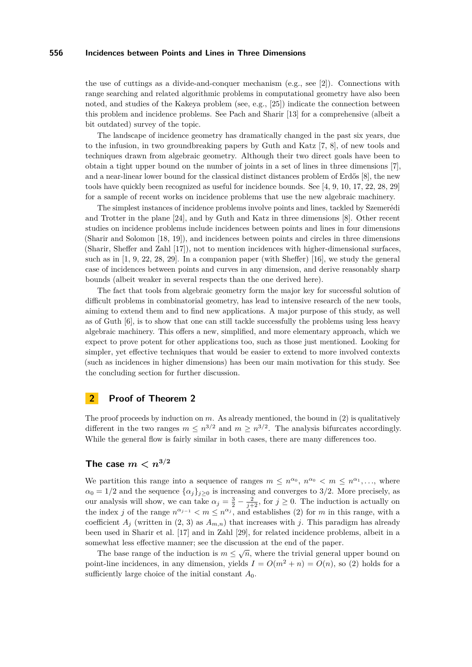the use of cuttings as a divide-and-conquer mechanism (e.g., see [\[2\]](#page-14-11)). Connections with range searching and related algorithmic problems in computational geometry have also been noted, and studies of the Kakeya problem (see, e.g., [\[25\]](#page-15-1)) indicate the connection between this problem and incidence problems. See Pach and Sharir [\[13\]](#page-14-12) for a comprehensive (albeit a bit outdated) survey of the topic.

The landscape of incidence geometry has dramatically changed in the past six years, due to the infusion, in two groundbreaking papers by Guth and Katz [\[7,](#page-14-4) [8\]](#page-14-0), of new tools and techniques drawn from algebraic geometry. Although their two direct goals have been to obtain a tight upper bound on the number of joints in a set of lines in three dimensions [\[7\]](#page-14-4), and a near-linear lower bound for the classical distinct distances problem of Erdős [\[8\]](#page-14-0), the new tools have quickly been recognized as useful for incidence bounds. See [\[4,](#page-14-5) [9,](#page-14-13) [10,](#page-14-14) [17,](#page-14-8) [22,](#page-14-15) [28,](#page-15-2) [29\]](#page-15-3) for a sample of recent works on incidence problems that use the new algebraic machinery.

The simplest instances of incidence problems involve points and lines, tackled by Szemerédi and Trotter in the plane [\[24\]](#page-14-2), and by Guth and Katz in three dimensions [\[8\]](#page-14-0). Other recent studies on incidence problems include incidences between points and lines in four dimensions (Sharir and Solomon [\[18,](#page-14-9) [19\]](#page-14-6)), and incidences between points and circles in three dimensions (Sharir, Sheffer and Zahl [\[17\]](#page-14-8)), not to mention incidences with higher-dimensional surfaces, such as in [\[1,](#page-14-16) [9,](#page-14-13) [22,](#page-14-15) [28,](#page-15-2) [29\]](#page-15-3). In a companion paper (with Sheffer) [\[16\]](#page-14-7), we study the general case of incidences between points and curves in any dimension, and derive reasonably sharp bounds (albeit weaker in several respects than the one derived here).

The fact that tools from algebraic geometry form the major key for successful solution of difficult problems in combinatorial geometry, has lead to intensive research of the new tools, aiming to extend them and to find new applications. A major purpose of this study, as well as of Guth [\[6\]](#page-14-1), is to show that one can still tackle successfully the problems using less heavy algebraic machinery. This offers a new, simplified, and more elementary approach, which we expect to prove potent for other applications too, such as those just mentioned. Looking for simpler, yet effective techniques that would be easier to extend to more involved contexts (such as incidences in higher dimensions) has been our main motivation for this study. See the concluding section for further discussion.

# **2 Proof of Theorem [2](#page-1-3)**

The proof proceeds by induction on  $m$ . As already mentioned, the bound in  $(2)$  is qualitatively different in the two ranges  $m \leq n^{3/2}$  and  $m \geq n^{3/2}$ . The analysis bifurcates accordingly. While the general flow is fairly similar in both cases, there are many differences too.

## The case  $m < n^{3/2}$

We partition this range into a sequence of ranges  $m \leq n^{\alpha_0}$ ,  $n^{\alpha_0} < m \leq n^{\alpha_1}$ , ..., where  $\alpha_0 = 1/2$  and the sequence  $\{\alpha_j\}_{j\geq 0}$  is increasing and converges to 3/2. More precisely, as our analysis will show, we can take  $\alpha_j = \frac{3}{2} - \frac{2}{j+2}$ , for  $j \geq 0$ . The induction is actually on the index *j* of the range  $n^{\alpha_{j-1}} < m \leq n^{\alpha_j}$ , and establishes [\(2\)](#page-1-1) for *m* in this range, with a coefficient  $A_j$  (written in  $(2, 3)$  $(2, 3)$  as  $A_{m,n}$ ) that increases with *j*. This paradigm has already been used in Sharir et al. [\[17\]](#page-14-8) and in Zahl [\[29\]](#page-15-3), for related incidence problems, albeit in a somewhat less effective manner; see the discussion at the end of the paper.

The base range of the induction is  $m \leq \sqrt{n}$ , where the trivial general upper bound on point-line incidences, in any dimension, yields  $I = O(m^2 + n) = O(n)$ , so [\(2\)](#page-1-1) holds for a sufficiently large choice of the initial constant  $A_0$ .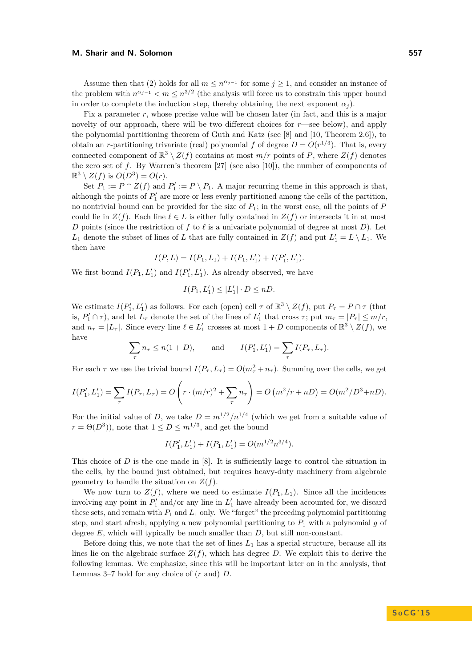Assume then that [\(2\)](#page-1-1) holds for all  $m \leq n^{\alpha_{j-1}}$  for some  $j \geq 1$ , and consider an instance of the problem with  $n^{\alpha_{j-1}} < m \leq n^{3/2}$  (the analysis will force us to constrain this upper bound in order to complete the induction step, thereby obtaining the next exponent  $\alpha_i$ ).

Fix a parameter *r*, whose precise value will be chosen later (in fact, and this is a major novelty of our approach, there will be two different choices for *r*—see below), and apply the polynomial partitioning theorem of Guth and Katz (see [\[8\]](#page-14-0) and [\[10,](#page-14-14) Theorem 2.6]), to obtain an *r*-partitioning trivariate (real) polynomial *f* of degree  $D = O(r^{1/3})$ . That is, every connected component of  $\mathbb{R}^3 \setminus Z(f)$  contains at most  $m/r$  points of P, where  $Z(f)$  denotes the zero set of *f*. By Warren's theorem [\[27\]](#page-15-4) (see also [\[10\]](#page-14-14)), the number of components of  $\mathbb{R}^3 \setminus Z(f)$  is  $O(D^3) = O(r)$ .

Set  $P_1 := P \cap Z(f)$  and  $P'_1 := P \setminus P_1$ . A major recurring theme in this approach is that, although the points of  $P'_1$  are more or less evenly partitioned among the cells of the partition, no nontrivial bound can be provided for the size of  $P_1$ ; in the worst case, all the points of  $P$ could lie in  $Z(f)$ . Each line  $\ell \in L$  is either fully contained in  $Z(f)$  or intersects it in at most *D* points (since the restriction of *f* to  $\ell$  is a univariate polynomial of degree at most *D*). Let *L*<sub>1</sub> denote the subset of lines of *L* that are fully contained in  $Z(f)$  and put  $L'_1 = L \setminus L_1$ . We then have

$$
I(P, L) = I(P_1, L_1) + I(P_1, L'_1) + I(P'_1, L'_1).
$$

We first bound  $I(P_1, L'_1)$  and  $I(P'_1, L'_1)$ . As already observed, we have

$$
I(P_1, L'_1) \le |L'_1| \cdot D \le nD.
$$

We estimate  $I(P'_1, L'_1)$  as follows. For each (open) cell  $\tau$  of  $\mathbb{R}^3 \setminus Z(f)$ , put  $P_\tau = P \cap \tau$  (that is,  $P'_1 \cap \tau$ ), and let  $L_\tau$  denote the set of the lines of  $L'_1$  that cross  $\tau$ ; put  $m_\tau = |P_\tau| \leq m/r$ , and  $n_{\tau} = |L_{\tau}|$ . Since every line  $\ell \in L'_{1}$  crosses at most  $1 + D$  components of  $\mathbb{R}^{3} \setminus Z(f)$ , we have

$$
\sum_{\tau} n_{\tau} \le n(1+D), \quad \text{and} \quad I(P'_1, L'_1) = \sum_{\tau} I(P_{\tau}, L_{\tau}).
$$

For each  $\tau$  we use the trivial bound  $I(P_{\tau}, L_{\tau}) = O(m_{\tau}^2 + n_{\tau})$ . Summing over the cells, we get

$$
I(P'_1, L'_1) = \sum_{\tau} I(P_{\tau}, L_{\tau}) = O\left(r \cdot (m/r)^2 + \sum_{\tau} n_{\tau}\right) = O\left(m^2/r + nD\right) = O(m^2/D^3 + nD).
$$

For the initial value of *D*, we take  $D = m^{1/2}/n^{1/4}$  (which we get from a suitable value of  $r = \Theta(D^3)$ , note that  $1 \le D \le m^{1/3}$ , and get the bound

$$
I(P'_1, L'_1) + I(P_1, L'_1) = O(m^{1/2}n^{3/4}).
$$

This choice of *D* is the one made in [\[8\]](#page-14-0). It is sufficiently large to control the situation in the cells, by the bound just obtained, but requires heavy-duty machinery from algebraic geometry to handle the situation on *Z*(*f*).

We now turn to  $Z(f)$ , where we need to estimate  $I(P_1, L_1)$ . Since all the incidences involving any point in  $P'_1$  and/or any line in  $L'_1$  have already been accounted for, we discard these sets, and remain with *P*<sup>1</sup> and *L*<sup>1</sup> only. We "forget" the preceding polynomial partitioning step, and start afresh, applying a new polynomial partitioning to  $P_1$  with a polynomial  $g$  of degree *E*, which will typically be much smaller than *D*, but still non-constant.

Before doing this, we note that the set of lines  $L_1$  has a special structure, because all its lines lie on the algebraic surface  $Z(f)$ , which has degree *D*. We exploit this to derive the following lemmas. We emphasize, since this will be important later on in the analysis, that Lemmas [3](#page-5-0)[–7](#page-6-0) hold for any choice of (*r* and) *D*.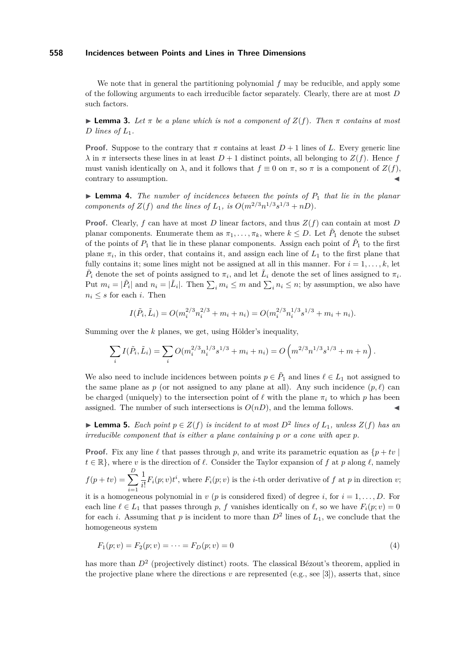We note that in general the partitioning polynomial f may be reducible, and apply some of the following arguments to each irreducible factor separately. Clearly, there are at most *D* such factors.

<span id="page-5-0"></span>**I Lemma 3.** Let  $\pi$  be a plane which is not a component of  $Z(f)$ . Then  $\pi$  contains at most *D* lines of  $L_1$ .

**Proof.** Suppose to the contrary that  $\pi$  contains at least  $D + 1$  lines of L. Every generic line  $\lambda$  in  $\pi$  intersects these lines in at least  $D+1$  distinct points, all belonging to  $Z(f)$ . Hence *f* must vanish identically on  $\lambda$ , and it follows that  $f \equiv 0$  on  $\pi$ , so  $\pi$  is a component of  $Z(f)$ , contrary to assumption.

<span id="page-5-3"></span> $\triangleright$  **Lemma 4.** *The number of incidences between the points of*  $P_1$  *that lie in the planar components of*  $Z(f)$  *and the lines of*  $L_1$ *, is*  $O(m^{2/3}n^{1/3}s^{1/3} + nD)$ *.* 

**Proof.** Clearly, *f* can have at most *D* linear factors, and thus *Z*(*f*) can contain at most *D* planar components. Enumerate them as  $\pi_1, \ldots, \pi_k$ , where  $k \leq D$ . Let  $\tilde{P}_1$  denote the subset of the points of  $P_1$  that lie in these planar components. Assign each point of  $\tilde{P}_1$  to the first plane  $\pi_i$ , in this order, that contains it, and assign each line of  $L_1$  to the first plane that fully contains it; some lines might not be assigned at all in this manner. For  $i = 1, \ldots, k$ , let  $\tilde{P}_i$  denote the set of points assigned to  $\pi_i$ , and let  $\tilde{L}_i$  denote the set of lines assigned to  $\pi_i$ . Put  $m_i = |\tilde{P}_i|$  and  $n_i = |\tilde{L}_i|$ . Then  $\sum_i m_i \leq m$  and  $\sum_i n_i \leq n$ ; by assumption, we also have  $n_i \leq s$  for each *i*. Then

$$
I(\tilde{P}_i, \tilde{L}_i) = O(m_i^{2/3} n_i^{2/3} + m_i + n_i) = O(m_i^{2/3} n_i^{1/3} s^{1/3} + m_i + n_i).
$$

Summing over the *k* planes, we get, using Hölder's inequality,

$$
\sum_i I(\tilde{P}_i, \tilde{L}_i) = \sum_i O(m_i^{2/3} n_i^{1/3} s^{1/3} + m_i + n_i) = O\left(m^{2/3} n^{1/3} s^{1/3} + m + n\right).
$$

We also need to include incidences between points  $p \in \tilde{P}_1$  and lines  $\ell \in L_1$  not assigned to the same plane as  $p$  (or not assigned to any plane at all). Any such incidence  $(p, \ell)$  can be charged (uniquely) to the intersection point of  $\ell$  with the plane  $\pi_i$  to which *p* has been assigned. The number of such intersections is  $O(nD)$ , and the lemma follows.

<span id="page-5-1"></span>▶ **Lemma 5.** *Each point*  $p \in Z(f)$  *is incident to at most*  $D^2$  *lines of*  $L_1$ *, unless*  $Z(f)$  *has an irreducible component that is either a plane containing p or a cone with apex p.*

**Proof.** Fix any line  $\ell$  that passes through p, and write its parametric equation as  $\{p + tv\}$  $t \in \mathbb{R}$ , where *v* is the direction of  $\ell$ . Consider the Taylor expansion of *f* at *p* along  $\ell$ , namely  $f(p+tv) = \sum_{n=0}^{D}$ *i*=1 1  $\frac{1}{i!}F_i(p; v)t^i$ , where  $F_i(p; v)$  is the *i*-th order derivative of *f* at *p* in direction *v*;

it is a homogeneous polynomial in  $v$  ( $p$  is considered fixed) of degree  $i$ , for  $i = 1, \ldots, D$ . For each line  $\ell \in L_1$  that passes through p, f vanishes identically on  $\ell$ , so we have  $F_i(p; v) = 0$ for each *i*. Assuming that *p* is incident to more than  $D^2$  lines of  $L_1$ , we conclude that the homogeneous system

<span id="page-5-2"></span>
$$
F_1(p; v) = F_2(p; v) = \dots = F_D(p; v) = 0
$$
\n(4)

has more than  $D^2$  (projectively distinct) roots. The classical Bézout's theorem, applied in the projective plane where the directions  $v$  are represented (e.g., see [\[3\]](#page-14-17)), asserts that, since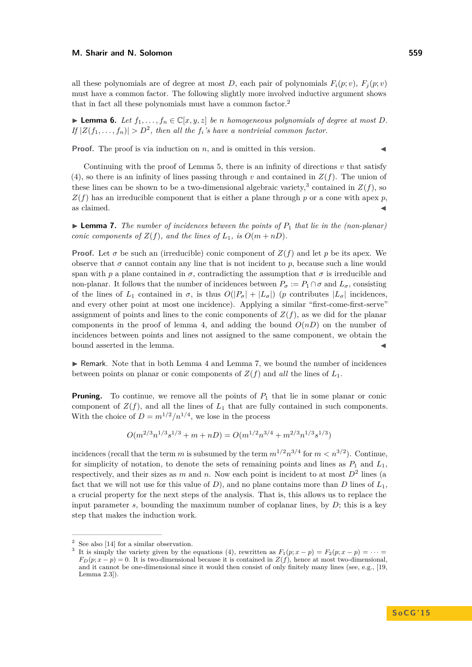all these polynomials are of degree at most *D*, each pair of polynomials  $F_i(p; v)$ ,  $F_i(p; v)$ must have a common factor. The following slightly more involved inductive argument shows that in fact all these polynomials must have a common factor.[2](#page-6-1)

► **Lemma 6.** *Let*  $f_1, \ldots, f_n$  ∈  $\mathbb{C}[x, y, z]$  *be n homogeneous polynomials of degree at most D.*  $I_f |Z(f_1, \ldots, f_n)| > D^2$ , then all the  $f_i$ 's have a nontrivial common factor.

**Proof.** The proof is via induction on *n*, and is omitted in this version.

Continuing with the proof of Lemma [5,](#page-5-1) there is an infinity of directions  $v$  that satisfy [\(4\)](#page-5-2), so there is an infinity of lines passing through  $v$  and contained in  $Z(f)$ . The union of these lines can be shown to be a two-dimensional algebraic variety,<sup>[3](#page-6-2)</sup> contained in  $Z(f)$ , so  $Z(f)$  has an irreducible component that is either a plane through *p* or a cone with apex *p*, as claimed.  $\blacktriangleleft$ 

<span id="page-6-0"></span>**Lemma 7.** The number of incidences between the points of  $P_1$  that lie in the (non-planar) *conic components of*  $Z(f)$ *, and the lines of*  $L_1$ *, is*  $O(m + nD)$ *.* 

**Proof.** Let  $\sigma$  be such an (irreducible) conic component of  $Z(f)$  and let p be its apex. We observe that  $\sigma$  cannot contain any line that is not incident to  $p$ , because such a line would span with *p* a plane contained in  $\sigma$ , contradicting the assumption that  $\sigma$  is irreducible and non-planar. It follows that the number of incidences between  $P_{\sigma} := P_1 \cap \sigma$  and  $L_{\sigma}$ , consisting of the lines of  $L_1$  contained in  $\sigma$ , is thus  $O(|P_\sigma| + |L_\sigma|)$  (*p* contributes  $|L_\sigma|$  incidences, and every other point at most one incidence). Applying a similar "first-come-first-serve" assignment of points and lines to the conic components of  $Z(f)$ , as we did for the planar components in the proof of lemma [4,](#page-5-3) and adding the bound  $O(nD)$  on the number of incidences between points and lines not assigned to the same component, we obtain the bound asserted in the lemma.

 $\triangleright$  Remark. Note that in both Lemma [4](#page-5-3) and Lemma [7,](#page-6-0) we bound the number of incidences between points on planar or conic components of  $Z(f)$  and *all* the lines of  $L_1$ .

**Pruning.** To continue, we remove all the points of  $P_1$  that lie in some planar or conic component of  $Z(f)$ , and all the lines of  $L_1$  that are fully contained in such components. With the choice of  $D = m^{1/2}/n^{1/4}$ , we lose in the process

$$
O(m^{2/3}n^{1/3}s^{1/3} + m + nD) = O(m^{1/2}n^{3/4} + m^{2/3}n^{1/3}s^{1/3})
$$

incidences (recall that the term *m* is subsumed by the term  $m^{1/2}n^{3/4}$  for  $m < n^{3/2}$ ). Continue, for simplicity of notation, to denote the sets of remaining points and lines as  $P_1$  and  $L_1$ , respectively, and their sizes as  $m$  and  $n$ . Now each point is incident to at most  $D^2$  lines (a fact that we will not use for this value of  $D$ ), and no plane contains more than  $D$  lines of  $L_1$ , a crucial property for the next steps of the analysis. That is, this allows us to replace the input parameter  $s$ , bounding the maximum number of coplanar lines, by  $D$ ; this is a key step that makes the induction work.

<span id="page-6-1"></span>See also [\[14\]](#page-14-18) for a similar observation.

<span id="page-6-2"></span><sup>3</sup> It is simply the variety given by the equations [\(4\)](#page-5-2), rewritten as  $F_1(p; x - p) = F_2(p; x - p) = \cdots$  $F_D(p; x - p) = 0$ . It is two-dimensional because it is contained in  $Z(f)$ , hence at most two-dimensional, and it cannot be one-dimensional since it would then consist of only finitely many lines (see, e.g., [\[19,](#page-14-6) Lemma 2.3]).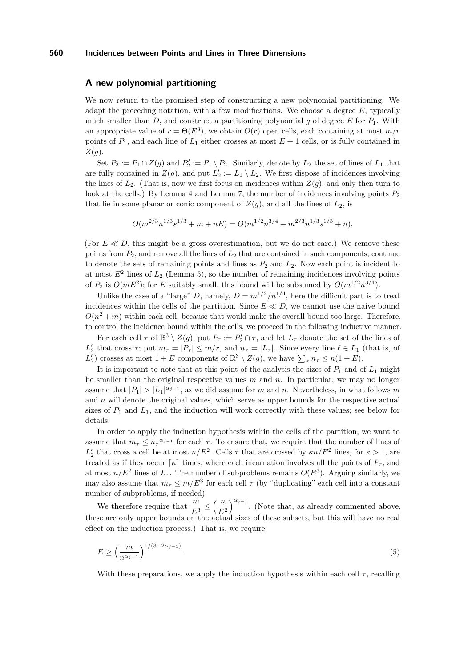## **A new polynomial partitioning**

We now return to the promised step of constructing a new polynomial partitioning. We adapt the preceding notation, with a few modifications. We choose a degree *E*, typically much smaller than *D*, and construct a partitioning polynomial *g* of degree *E* for  $P_1$ . With an appropriate value of  $r = \Theta(E^3)$ , we obtain  $O(r)$  open cells, each containing at most  $m/r$ points of  $P_1$ , and each line of  $L_1$  either crosses at most  $E + 1$  cells, or is fully contained in *Z*(*g*).

Set  $P_2 := P_1 \cap Z(g)$  and  $P_2' := P_1 \setminus P_2$ . Similarly, denote by  $L_2$  the set of lines of  $L_1$  that are fully contained in  $Z(g)$ , and put  $L'_2 := L_1 \setminus L_2$ . We first dispose of incidences involving the lines of  $L_2$ . (That is, now we first focus on incidences within  $Z(g)$ , and only then turn to look at the cells.) By Lemma [4](#page-5-3) and Lemma [7,](#page-6-0) the number of incidences involving points  $P_2$ that lie in some planar or conic component of  $Z(g)$ , and all the lines of  $L_2$ , is

$$
O(m^{2/3}n^{1/3}s^{1/3} + m + nE) = O(m^{1/2}n^{3/4} + m^{2/3}n^{1/3}s^{1/3} + n).
$$

(For  $E \ll D$ , this might be a gross overestimation, but we do not care.) We remove these points from *P*2, and remove all the lines of *L*<sup>2</sup> that are contained in such components; continue to denote the sets of remaining points and lines as  $P_2$  and  $L_2$ . Now each point is incident to at most  $E^2$  lines of  $L_2$  (Lemma [5\)](#page-5-1), so the number of remaining incidences involving points of  $P_2$  is  $O(mE^2)$ ; for *E* suitably small, this bound will be subsumed by  $O(m^{1/2}n^{3/4})$ .

Unlike the case of a "large" *D*, namely,  $D = m^{1/2}/n^{1/4}$ , here the difficult part is to treat incidences within the cells of the partition. Since  $E \ll D$ , we cannot use the naive bound  $O(n^2 + m)$  within each cell, because that would make the overall bound too large. Therefore, to control the incidence bound within the cells, we proceed in the following inductive manner.

For each cell  $\tau$  of  $\mathbb{R}^3 \setminus Z(g)$ , put  $P_\tau := P'_2 \cap \tau$ , and let  $L_\tau$  denote the set of the lines of *L*<sup>2</sup>
<sub>2</sub> that cross  $\tau$ ; put  $m_{\tau} = |P_{\tau}| \leq m/r$ , and  $n_{\tau} = |L_{\tau}|$ . Since every line  $\ell \in L_1$  (that is, of *L*<sup>'</sup><sub>2</sub>) crosses at most  $1 + E$  components of  $\mathbb{R}^3 \setminus Z(g)$ , we have  $\sum_{\tau} n_{\tau} \leq n(1 + E)$ .

It is important to note that at this point of the analysis the sizes of  $P_1$  and of  $L_1$  might be smaller than the original respective values *m* and *n*. In particular, we may no longer assume that  $|P_1| > |L_1|^{\alpha_{j-1}}$ , as we did assume for *m* and *n*. Nevertheless, in what follows *m* and *n* will denote the original values, which serve as upper bounds for the respective actual sizes of  $P_1$  and  $L_1$ , and the induction will work correctly with these values; see below for details.

In order to apply the induction hypothesis within the cells of the partition, we want to assume that  $m_{\tau} \leq n_{\tau}^{\alpha_{j-1}}$  for each  $\tau$ . To ensure that, we require that the number of lines of *L*<sup>'</sup><sub>2</sub> that cross a cell be at most *n/E*<sup>2</sup>. Cells *τ* that are crossed by *κn/E*<sup>2</sup> lines, for *κ* > 1, are treated as if they occur  $\lceil \kappa \rceil$  times, where each incarnation involves all the points of  $P_\tau$ , and at most  $n/E^2$  lines of  $L_7$ . The number of subproblems remains  $O(E^3)$ . Arguing similarly, we may also assume that  $m_{\tau} \leq m/E^3$  for each cell  $\tau$  (by "duplicating" each cell into a constant number of subproblems, if needed).

We therefore require that  $\frac{m}{E^3} \leq \left(\frac{n}{E}\right)$ *E*<sup>2</sup>  $a_j^{\alpha_{j-1}}$ . (Note that, as already commented above, these are only upper bounds on the actual sizes of these subsets, but this will have no real effect on the induction process.) That is, we require

<span id="page-7-0"></span>
$$
E \ge \left(\frac{m}{n^{\alpha_{j-1}}}\right)^{1/(3-2\alpha_{j-1})}.\tag{5}
$$

With these preparations, we apply the induction hypothesis within each cell  $\tau$ , recalling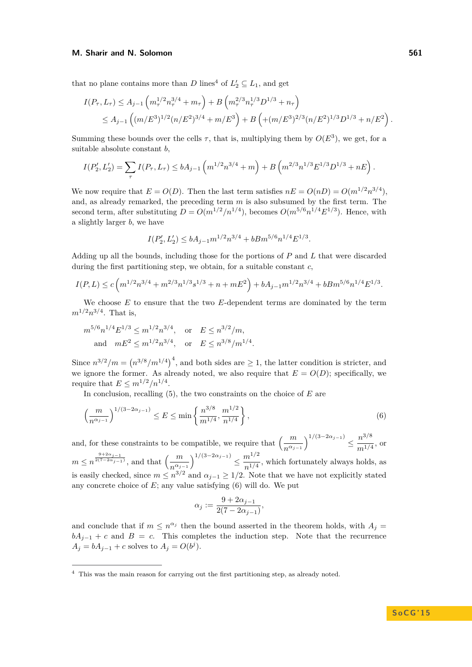that no plane contains more than *D* lines<sup>[4](#page-8-0)</sup> of  $L'_2 \subseteq L_1$ , and get

$$
I(P_{\tau}, L_{\tau}) \le A_{j-1} \left( m_{\tau}^{1/2} n_{\tau}^{3/4} + m_{\tau} \right) + B \left( m_{\tau}^{2/3} n_{\tau}^{1/3} D^{1/3} + n_{\tau} \right)
$$
  

$$
\le A_{j-1} \left( (m/E^3)^{1/2} (n/E^2)^{3/4} + m/E^3 \right) + B \left( (m/E^3)^{2/3} (n/E^2)^{1/3} D^{1/3} + n/E^2 \right).
$$

Summing these bounds over the cells  $\tau$ , that is, multiplying them by  $O(E^3)$ , we get, for a suitable absolute constant *b*,

$$
I(P_2', L_2') = \sum_{\tau} I(P_{\tau}, L_{\tau}) \le bA_{j-1} \left( m^{1/2} n^{3/4} + m \right) + B \left( m^{2/3} n^{1/3} E^{1/3} D^{1/3} + nE \right).
$$

We now require that  $E = O(D)$ . Then the last term satisfies  $nE = O(nD) = O(m^{1/2}n^{3/4})$ , and, as already remarked, the preceding term *m* is also subsumed by the first term. The second term, after substituting  $D = O(m^{1/2}/n^{1/4})$ , becomes  $O(m^{5/6}n^{1/4}E^{1/3})$ . Hence, with a slightly larger *b*, we have

$$
I(P_2', L_2') \le bA_{j-1}m^{1/2}n^{3/4} + bBm^{5/6}n^{1/4}E^{1/3}.
$$

Adding up all the bounds, including those for the portions of *P* and *L* that were discarded during the first partitioning step, we obtain, for a suitable constant *c*,

$$
I(P,L) \le c \left( m^{1/2} n^{3/4} + m^{2/3} n^{1/3} s^{1/3} + n + mE^2 \right) + bA_{j-1} m^{1/2} n^{3/4} + bB m^{5/6} n^{1/4} E^{1/3}.
$$

We choose *E* to ensure that the two *E*-dependent terms are dominated by the term  $m^{1/2}n^{3/4}$ . That is,

$$
m^{5/6}n^{1/4}E^{1/3} \le m^{1/2}n^{3/4}, \text{ or } E \le n^{3/2}/m,
$$
  
and  $mE^2 \le m^{1/2}n^{3/4}, \text{ or } E \le n^{3/8}/m^{1/4}.$ 

Since  $n^{3/2}/m = (n^{3/8}/m^{1/4})^4$ , and both sides are  $\geq 1$ , the latter condition is stricter, and we ignore the former. As already noted, we also require that  $E = O(D)$ ; specifically, we require that  $E \leq m^{1/2}/n^{1/4}$ .

In conclusion, recalling [\(5\)](#page-7-0), the two constraints on the choice of *E* are

$$
\left(\frac{m}{n^{\alpha_{j-1}}}\right)^{1/(3-2\alpha_{j-1})} \le E \le \min\left\{\frac{n^{3/8}}{m^{1/4}}, \frac{m^{1/2}}{n^{1/4}}\right\},\tag{6}
$$

and, for these constraints to be compatible, we require that  $\left(\frac{m}{n^{\alpha_{j-1}}}\right)^{1/(3-2\alpha_{j-1})} \leq \frac{n^{3/8}}{m^{1/4}}$  $\frac{n}{m^{1/4}}$ , or  $m \le n^{\frac{9+2\alpha_{j-1}}{2(7-2\alpha_{j-1})}},$  and that  $\left(\frac{m}{n^{\alpha_{j-1}}}\right)^{1/(3-2\alpha_{j-1})} \le \frac{m^{1/2}}{n^{1/4}}$  $\frac{m}{n^{1/4}}$ , which fortunately always holds, as is easily checked, since  $m \leq n^{3/2}$  and  $\alpha_{j-1} \geq 1/2$ . Note that we have not explicitly stated any concrete choice of  $E$ ; any value satisfying  $(6)$  will do. We put

<span id="page-8-1"></span>
$$
\alpha_j := \frac{9 + 2\alpha_{j-1}}{2(7 - 2\alpha_{j-1})},
$$

and conclude that if  $m \leq n^{\alpha_j}$  then the bound asserted in the theorem holds, with  $A_j =$  $bA_{i-1} + c$  and  $B = c$ . This completes the induction step. Note that the recurrence  $A_j = bA_{j-1} + c$  solves to  $A_j = O(b^j)$ .

<span id="page-8-0"></span><sup>&</sup>lt;sup>4</sup> This was the main reason for carrying out the first partitioning step, as already noted.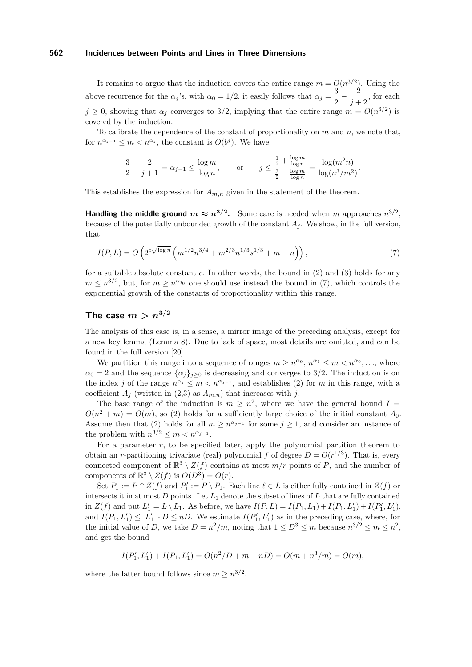It remains to argue that the induction covers the entire range  $m = O(n^{3/2})$ . Using the above recurrence for the  $\alpha_j$ 's, with  $\alpha_0 = 1/2$ , it easily follows that  $\alpha_j = \frac{3}{2}$  $rac{3}{2} - \frac{2}{j+1}$  $\frac{z}{j+2}$ , for each  $j \geq 0$ , showing that  $\alpha_j$  converges to 3/2, implying that the entire range  $m = O(n^{3/2})$  is covered by the induction.

To calibrate the dependence of the constant of proportionality on *m* and *n*, we note that, for  $n^{\alpha_{j-1}} \leq m < n^{\alpha_j}$ , the constant is  $O(b^j)$ . We have

$$
\frac{3}{2} - \frac{2}{j+1} = \alpha_{j-1} \le \frac{\log m}{\log n}, \qquad \text{or} \qquad j \le \frac{\frac{1}{2} + \frac{\log m}{\log n}}{\frac{3}{2} - \frac{\log m}{\log n}} = \frac{\log (m^2 n)}{\log (n^3 / m^2)}.
$$

This establishes the expression for  $A_{m,n}$  given in the statement of the theorem.

**Handling the middle ground**  $m \approx n^{3/2}$ . Some care is needed when *m* approaches  $n^{3/2}$ . because of the potentially unbounded growth of the constant  $A_j$ . We show, in the full version, that

<span id="page-9-0"></span>
$$
I(P,L) = O\left(2^{c\sqrt{\log n}} \left(m^{1/2} n^{3/4} + m^{2/3} n^{1/3} s^{1/3} + m + n\right)\right),\tag{7}
$$

for a suitable absolute constant *c*. In other words, the bound in [\(2\)](#page-1-1) and [\(3\)](#page-1-2) holds for any  $m \leq n^{3/2}$ , but, for  $m \geq n^{\alpha_{j_0}}$  one should use instead the bound in [\(7\)](#page-9-0), which controls the exponential growth of the constants of proportionality within this range.

## **The case**  $m > n^{3/2}$

The analysis of this case is, in a sense, a mirror image of the preceding analysis, except for a new key lemma (Lemma [8\)](#page-10-0). Due to lack of space, most details are omitted, and can be found in the full version [\[20\]](#page-14-19).

We partition this range into a sequence of ranges  $m \geq n^{\alpha_0}$ ,  $n^{\alpha_1} \leq m < n^{\alpha_0}$ , ..., where  $\alpha_0 = 2$  and the sequence  $\{\alpha_i\}_{i>0}$  is decreasing and converges to 3/2. The induction is on the index *j* of the range  $n^{\alpha_j} \leq m < n^{\alpha_{j-1}}$ , and establishes [\(2\)](#page-1-1) for *m* in this range, with a coefficient  $A_j$  (written in [\(2](#page-1-1)[,3\)](#page-1-2) as  $A_{m,n}$ ) that increases with j.

The base range of the induction is  $m \geq n^2$ , where we have the general bound  $I =$  $O(n^2 + m) = O(m)$ , so [\(2\)](#page-1-1) holds for a sufficiently large choice of the initial constant  $A_0$ . Assume then that [\(2\)](#page-1-1) holds for all  $m \geq n^{\alpha_{j-1}}$  for some  $j \geq 1$ , and consider an instance of the problem with  $n^{3/2} \leq m < n^{\alpha_{j-1}}$ .

For a parameter *r*, to be specified later, apply the polynomial partition theorem to obtain an *r*-partitioning trivariate (real) polynomial *f* of degree  $D = O(r^{1/3})$ . That is, every connected component of  $\mathbb{R}^3 \setminus Z(f)$  contains at most  $m/r$  points of P, and the number of components of  $\mathbb{R}^3 \setminus Z(f)$  is  $O(D^3) = O(r)$ .

Set  $P_1 := P \cap Z(f)$  and  $P'_1 := P \setminus P_1$ . Each line  $\ell \in L$  is either fully contained in  $Z(f)$  or intersects it in at most  $D$  points. Let  $L_1$  denote the subset of lines of  $L$  that are fully contained in  $Z(f)$  and put  $L'_1 = L \setminus L_1$ . As before, we have  $I(P, L) = I(P_1, L_1) + I(P_1, L'_1) + I(P'_1, L'_1)$ , and  $I(P_1, L'_1) \leq |L'_1| \cdot D \leq nD$ . We estimate  $I(P'_1, L'_1)$  as in the preceding case, where, for the initial value of *D*, we take  $D = n^2/m$ , noting that  $1 \le D^3 \le m$  because  $n^{3/2} \le m \le n^2$ , and get the bound

$$
I(P'_1, L'_1) + I(P_1, L'_1) = O(n^2/D + m + nD) = O(m + n^3/m) = O(m),
$$

where the latter bound follows since  $m \geq n^{3/2}$ .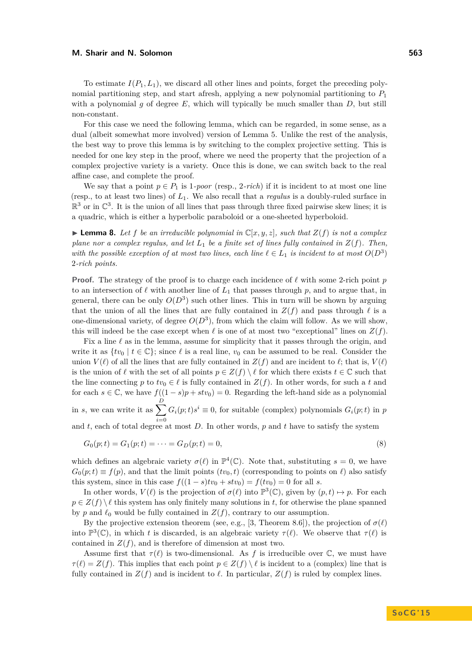To estimate  $I(P_1, L_1)$ , we discard all other lines and points, forget the preceding polynomial partitioning step, and start afresh, applying a new polynomial partitioning to  $P_1$ with a polynomial  $q$  of degree  $E$ , which will typically be much smaller than  $D$ , but still non-constant.

For this case we need the following lemma, which can be regarded, in some sense, as a dual (albeit somewhat more involved) version of Lemma [5.](#page-5-1) Unlike the rest of the analysis, the best way to prove this lemma is by switching to the complex projective setting. This is needed for one key step in the proof, where we need the property that the projection of a complex projective variety is a variety. Once this is done, we can switch back to the real affine case, and complete the proof.

We say that a point  $p \in P_1$  is 1*-poor* (resp., 2*-rich*) if it is incident to at most one line (resp., to at least two lines) of *L*1. We also recall that a *regulus* is a doubly-ruled surface in  $\mathbb{R}^3$  or in  $\mathbb{C}^3$ . It is the union of all lines that pass through three fixed pairwise skew lines; it is a quadric, which is either a hyperbolic paraboloid or a one-sheeted hyperboloid.

<span id="page-10-0"></span>**Lemma 8.** Let f be an irreducible polynomial in  $\mathbb{C}[x, y, z]$ , such that  $Z(f)$  is not a complex *plane nor a complex regulus, and let L*<sup>1</sup> *be a finite set of lines fully contained in Z*(*f*)*. Then, with the possible exception of at most two lines, each line*  $\ell \in L_1$  *is incident to at most*  $O(D^3)$ 2*-rich points.*

**Proof.** The strategy of the proof is to charge each incidence of  $\ell$  with some 2-rich point p to an intersection of  $\ell$  with another line of  $L_1$  that passes through  $p$ , and to argue that, in general, there can be only  $O(D^3)$  such other lines. This in turn will be shown by arguing that the union of all the lines that are fully contained in  $Z(f)$  and pass through  $\ell$  is a one-dimensional variety, of degree  $O(D^3)$ , from which the claim will follow. As we will show, this will indeed be the case except when  $\ell$  is one of at most two "exceptional" lines on  $Z(f)$ .

Fix a line  $\ell$  as in the lemma, assume for simplicity that it passes through the origin, and write it as  $\{tv_0 \mid t \in \mathbb{C}\}$ ; since  $\ell$  is a real line,  $v_0$  can be assumed to be real. Consider the union  $V(\ell)$  of all the lines that are fully contained in  $Z(f)$  and are incident to  $\ell$ ; that is,  $V(\ell)$ is the union of  $\ell$  with the set of all points  $p \in Z(f) \setminus \ell$  for which there exists  $t \in \mathbb{C}$  such that the line connecting *p* to  $tv_0 \in \ell$  is fully contained in  $Z(f)$ . In other words, for such a *t* and for each  $s \in \mathbb{C}$ , we have  $f((1-s)p + stv_0) = 0$ . Regarding the left-hand side as a polynomial in *s*, we can write it as  $\sum_{n=1}^{D}$ *i*=0  $G_i(p;t)s^i \equiv 0$ , for suitable (complex) polynomials  $G_i(p;t)$  in *p* 

and  $t$ , each of total degree at most  $D$ . In other words,  $p$  and  $t$  have to satisfy the system

$$
G_0(p;t) = G_1(p;t) = \dots = G_D(p;t) = 0,
$$
\n(8)

which defines an algebraic variety  $\sigma(\ell)$  in  $\mathbb{P}^4(\mathbb{C})$ . Note that, substituting  $s = 0$ , we have  $G_0(p;t) \equiv f(p)$ , and that the limit points  $(tv_0, t)$  (corresponding to points on  $\ell$ ) also satisfy this system, since in this case  $f((1 - s)tv_0 + stv_0) = f(tv_0) = 0$  for all *s*.

In other words,  $V(\ell)$  is the projection of  $\sigma(\ell)$  into  $\mathbb{P}^3(\mathbb{C})$ , given by  $(p, t) \mapsto p$ . For each  $p \in Z(f) \setminus \ell$  this system has only finitely many solutions in *t*, for otherwise the plane spanned by *p* and  $\ell_0$  would be fully contained in  $Z(f)$ , contrary to our assumption.

By the projective extension theorem (see, e.g., [\[3,](#page-14-17) Theorem 8.6]), the projection of  $\sigma(\ell)$ into  $\mathbb{P}^3(\mathbb{C})$ , in which *t* is discarded, is an algebraic variety  $\tau(\ell)$ . We observe that  $\tau(\ell)$  is contained in  $Z(f)$ , and is therefore of dimension at most two.

Assume first that  $\tau(\ell)$  is two-dimensional. As f is irreducible over  $\mathbb{C}$ , we must have  $\tau(\ell) = Z(f)$ . This implies that each point  $p \in Z(f) \setminus \ell$  is incident to a (complex) line that is fully contained in  $Z(f)$  and is incident to  $\ell$ . In particular,  $Z(f)$  is ruled by complex lines.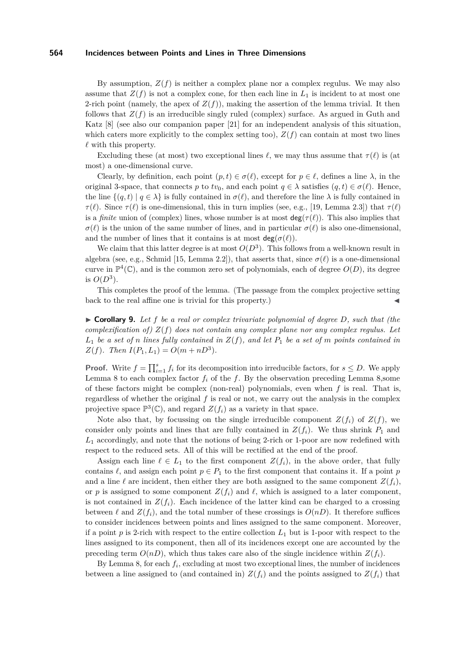By assumption,  $Z(f)$  is neither a complex plane nor a complex regulus. We may also assume that  $Z(f)$  is not a complex cone, for then each line in  $L_1$  is incident to at most one 2-rich point (namely, the apex of  $Z(f)$ ), making the assertion of the lemma trivial. It then follows that  $Z(f)$  is an irreducible singly ruled (complex) surface. As argued in Guth and Katz [\[8\]](#page-14-0) (see also our companion paper [\[21\]](#page-14-20) for an independent analysis of this situation, which caters more explicitly to the complex setting too),  $Z(f)$  can contain at most two lines  $\ell$  with this property.

Excluding these (at most) two exceptional lines  $\ell$ , we may thus assume that  $\tau(\ell)$  is (at most) a one-dimensional curve.

Clearly, by definition, each point  $(p, t) \in \sigma(\ell)$ , except for  $p \in \ell$ , defines a line  $\lambda$ , in the original 3-space, that connects *p* to  $tv_0$ , and each point  $q \in \lambda$  satisfies  $(q, t) \in \sigma(\ell)$ . Hence, the line  $\{(q, t) | q \in \lambda\}$  is fully contained in  $\sigma(\ell)$ , and therefore the line  $\lambda$  is fully contained in *τ*( $\ell$ ). Since *τ*( $\ell$ ) is one-dimensional, this in turn implies (see, e.g., [\[19,](#page-14-6) Lemma 2.3]) that *τ*( $\ell$ ) is a *finite* union of (complex) lines, whose number is at most  $deg(\tau(\ell))$ . This also implies that  $\sigma(\ell)$  is the union of the same number of lines, and in particular  $\sigma(\ell)$  is also one-dimensional, and the number of lines that it contains is at most  $deg(\sigma(\ell))$ .

We claim that this latter degree is at most  $O(D^3)$ . This follows from a well-known result in algebra (see, e.g., Schmid [\[15,](#page-14-21) Lemma 2.2]), that asserts that, since  $\sigma(\ell)$  is a one-dimensional curve in  $\mathbb{P}^4(\mathbb{C})$ , and is the common zero set of polynomials, each of degree  $O(D)$ , its degree is  $O(D^3)$ .

This completes the proof of the lemma. (The passage from the complex projective setting  $\mathbf{b}$  back to the real affine one is trivial for this property.)

<span id="page-11-0"></span>▶ Corollary 9. Let f be a real or complex trivariate polynomial of degree D, such that (the *complexification of) Z*(*f*) *does not contain any complex plane nor any complex regulus. Let*  $L_1$  *be a set of n lines fully contained in*  $Z(f)$ *, and let*  $P_1$  *be a set of m points contained in Z*(*f*)*. Then*  $I(P_1, L_1) = O(m + nD^3)$ *.* 

**Proof.** Write  $f = \prod_{i=1}^{s} f_i$  for its decomposition into irreducible factors, for  $s \leq D$ . We apply Lemma [8](#page-10-0) to each complex factor  $f_i$  of the  $f$ . By the observation preceding Lemma [8,](#page-10-0)some of these factors might be complex (non-real) polynomials, even when *f* is real. That is, regardless of whether the original *f* is real or not, we carry out the analysis in the complex projective space  $\mathbb{P}^3(\mathbb{C})$ , and regard  $Z(f_i)$  as a variety in that space.

Note also that, by focussing on the single irreducible component  $Z(f_i)$  of  $Z(f)$ , we consider only points and lines that are fully contained in  $Z(f_i)$ . We thus shrink  $P_1$  and  $L_1$  accordingly, and note that the notions of being 2-rich or 1-poor are now redefined with respect to the reduced sets. All of this will be rectified at the end of the proof.

Assign each line  $\ell \in L_1$  to the first component  $Z(f_i)$ , in the above order, that fully contains  $\ell$ , and assign each point  $p \in P_1$  to the first component that contains it. If a point *p* and a line  $\ell$  are incident, then either they are both assigned to the same component  $Z(f_i)$ , or *p* is assigned to some component  $Z(f_i)$  and  $\ell$ , which is assigned to a later component, is not contained in  $Z(f_i)$ . Each incidence of the latter kind can be charged to a crossing between  $\ell$  and  $Z(f_i)$ , and the total number of these crossings is  $O(nD)$ . It therefore suffices to consider incidences between points and lines assigned to the same component. Moreover, if a point  $p$  is 2-rich with respect to the entire collection  $L_1$  but is 1-poor with respect to the lines assigned to its component, then all of its incidences except one are accounted by the preceding term  $O(nD)$ , which thus takes care also of the single incidence within  $Z(f_i)$ .

By Lemma [8,](#page-10-0) for each  $f_i$ , excluding at most two exceptional lines, the number of incidences between a line assigned to (and contained in)  $Z(f_i)$  and the points assigned to  $Z(f_i)$  that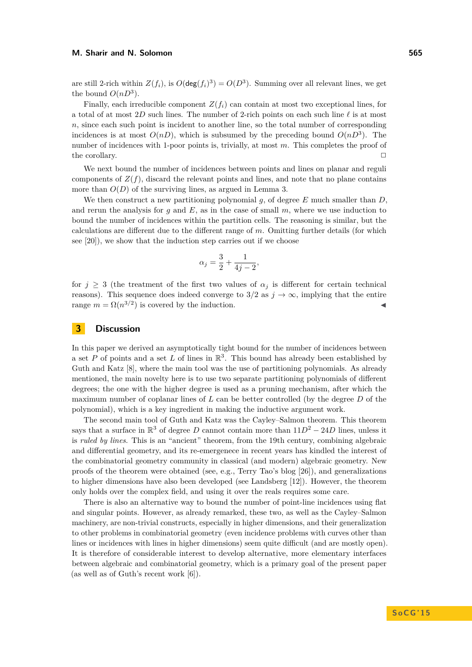are still 2-rich within  $Z(f_i)$ , is  $O(\deg(f_i)^3) = O(D^3)$ . Summing over all relevant lines, we get the bound  $O(nD^3)$ .

Finally, each irreducible component  $Z(f_i)$  can contain at most two exceptional lines, for a total of at most 2D such lines. The number of 2-rich points on each such line  $\ell$  is at most *n*, since each such point is incident to another line, so the total number of corresponding incidences is at most  $O(nD)$ , which is subsumed by the preceding bound  $O(nD^3)$ . The number of incidences with 1-poor points is, trivially, at most *m*. This completes the proof of the corollary.  $\Box$ 

We next bound the number of incidences between points and lines on planar and reguli components of  $Z(f)$ , discard the relevant points and lines, and note that no plane contains more than  $O(D)$  of the surviving lines, as argued in Lemma [3.](#page-5-0)

We then construct a new partitioning polynomial *g*, of degree *E* much smaller than *D*, and rerun the analysis for  $g$  and  $E$ , as in the case of small  $m$ , where we use induction to bound the number of incidences within the partition cells. The reasoning is similar, but the calculations are different due to the different range of *m*. Omitting further details (for which see [\[20\]](#page-14-19)), we show that the induction step carries out if we choose

$$
\alpha_j = \frac{3}{2} + \frac{1}{4j - 2},
$$

for  $j \geq 3$  (the treatment of the first two values of  $\alpha_j$  is different for certain technical reasons). This sequence does indeed converge to  $3/2$  as  $j \to \infty$ , implying that the entire range  $m = \Omega(n^{3/2})$  is covered by the induction.

## **3 Discussion**

In this paper we derived an asymptotically tight bound for the number of incidences between a set *P* of points and a set *L* of lines in  $\mathbb{R}^3$ . This bound has already been established by Guth and Katz [\[8\]](#page-14-0), where the main tool was the use of partitioning polynomials. As already mentioned, the main novelty here is to use two separate partitioning polynomials of different degrees; the one with the higher degree is used as a pruning mechanism, after which the maximum number of coplanar lines of *L* can be better controlled (by the degree *D* of the polynomial), which is a key ingredient in making the inductive argument work.

The second main tool of Guth and Katz was the Cayley–Salmon theorem. This theorem says that a surface in  $\mathbb{R}^3$  of degree *D* cannot contain more than  $11D^2 - 24D$  lines, unless it is *ruled by lines*. This is an "ancient" theorem, from the 19th century, combining algebraic and differential geometry, and its re-emergenece in recent years has kindled the interest of the combinatorial geometry community in classical (and modern) algebraic geometry. New proofs of the theorem were obtained (see, e.g., Terry Tao's blog [\[26\]](#page-15-5)), and generalizations to higher dimensions have also been developed (see Landsberg [\[12\]](#page-14-22)). However, the theorem only holds over the complex field, and using it over the reals requires some care.

There is also an alternative way to bound the number of point-line incidences using flat and singular points. However, as already remarked, these two, as well as the Cayley–Salmon machinery, are non-trivial constructs, especially in higher dimensions, and their generalization to other problems in combinatorial geometry (even incidence problems with curves other than lines or incidences with lines in higher dimensions) seem quite difficult (and are mostly open). It is therefore of considerable interest to develop alternative, more elementary interfaces between algebraic and combinatorial geometry, which is a primary goal of the present paper (as well as of Guth's recent work [\[6\]](#page-14-1)).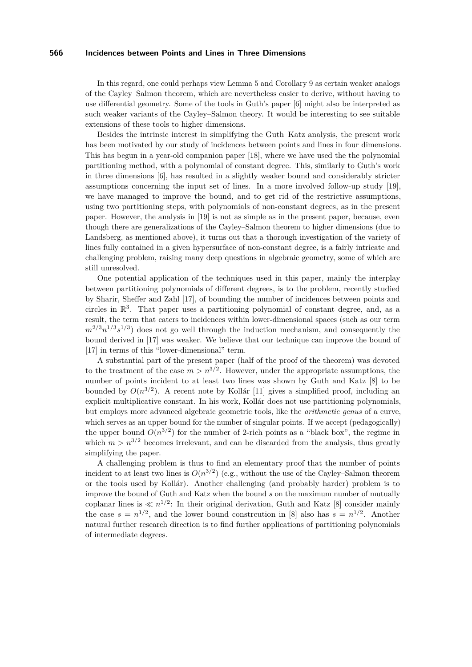In this regard, one could perhaps view Lemma [5](#page-5-1) and Corollary [9](#page-11-0) as certain weaker analogs of the Cayley–Salmon theorem, which are nevertheless easier to derive, without having to use differential geometry. Some of the tools in Guth's paper [\[6\]](#page-14-1) might also be interpreted as such weaker variants of the Cayley–Salmon theory. It would be interesting to see suitable extensions of these tools to higher dimensions.

Besides the intrinsic interest in simplifying the Guth–Katz analysis, the present work has been motivated by our study of incidences between points and lines in four dimensions. This has begun in a year-old companion paper [\[18\]](#page-14-9), where we have used the the polynomial partitioning method, with a polynomial of constant degree. This, similarly to Guth's work in three dimensions [\[6\]](#page-14-1), has resulted in a slightly weaker bound and considerably stricter assumptions concerning the input set of lines. In a more involved follow-up study [\[19\]](#page-14-6), we have managed to improve the bound, and to get rid of the restrictive assumptions, using two partitioning steps, with polynomials of non-constant degrees, as in the present paper. However, the analysis in [\[19\]](#page-14-6) is not as simple as in the present paper, because, even though there are generalizations of the Cayley–Salmon theorem to higher dimensions (due to Landsberg, as mentioned above), it turns out that a thorough investigation of the variety of lines fully contained in a given hypersurface of non-constant degree, is a fairly intricate and challenging problem, raising many deep questions in algebraic geometry, some of which are still unresolved.

One potential application of the techniques used in this paper, mainly the interplay between partitioning polynomials of different degrees, is to the problem, recently studied by Sharir, Sheffer and Zahl [\[17\]](#page-14-8), of bounding the number of incidences between points and circles in  $\mathbb{R}^3$ . That paper uses a partitioning polynomial of constant degree, and, as a result, the term that caters to incidences within lower-dimensional spaces (such as our term  $m^{2/3}n^{1/3}s^{1/3}$  does not go well through the induction mechanism, and consequently the bound derived in [\[17\]](#page-14-8) was weaker. We believe that our technique can improve the bound of [\[17\]](#page-14-8) in terms of this "lower-dimensional" term.

A substantial part of the present paper (half of the proof of the theorem) was devoted to the treatment of the case  $m > n^{3/2}$ . However, under the appropriate assumptions, the number of points incident to at least two lines was shown by Guth and Katz [\[8\]](#page-14-0) to be bounded by  $O(n^{3/2})$ . A recent note by Kollár [\[11\]](#page-14-23) gives a simplified proof, including an explicit multiplicative constant. In his work, Kollár does not use partitioning polynomials, but employs more advanced algebraic geometric tools, like the *arithmetic genus* of a curve, which serves as an upper bound for the number of singular points. If we accept (pedagogically) the upper bound  $O(n^{3/2})$  for the number of 2-rich points as a "black box", the regime in which  $m > n^{3/2}$  becomes irrelevant, and can be discarded from the analysis, thus greatly simplifying the paper.

A challenging problem is thus to find an elementary proof that the number of points incident to at least two lines is  $O(n^{3/2})$  (e.g., without the use of the Cayley–Salmon theorem or the tools used by Kollár). Another challenging (and probably harder) problem is to improve the bound of Guth and Katz when the bound *s* on the maximum number of mutually coplanar lines is  $\ll n^{1/2}$ : In their original derivation, Guth and Katz [\[8\]](#page-14-0) consider mainly the case  $s = n^{1/2}$ , and the lower bound constrcution in [\[8\]](#page-14-0) also has  $s = n^{1/2}$ . Another natural further research direction is to find further applications of partitioning polynomials of intermediate degrees.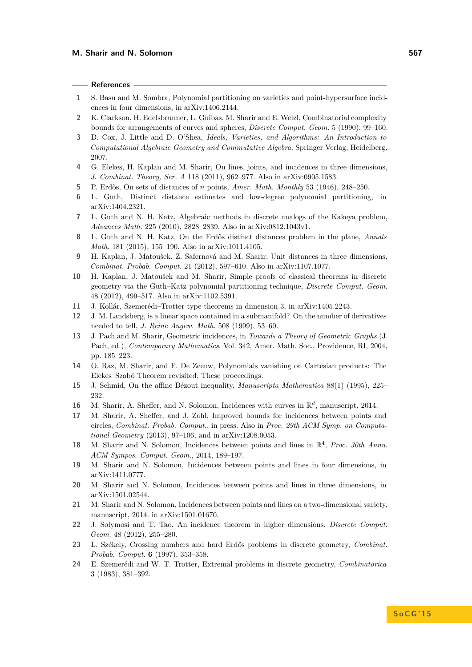### **References**

- <span id="page-14-16"></span>**1** S. Basu and M. Sombra, Polynomial partitioning on varieties and point-hypersurface incidences in four dimensions, in arXiv:1406.2144.
- <span id="page-14-11"></span>**2** K. Clarkson, H. Edelsbrunner, L. Guibas, M. Sharir and E. Welzl, Combinatorial complexity bounds for arrangements of curves and spheres, *Discrete Comput. Geom.* 5 (1990), 99–160.
- <span id="page-14-17"></span>**3** D. Cox, J. Little and D. O'Shea, *Ideals, Varieties, and Algorithms: An Introduction to Computational Algebraic Geometry and Commutative Algebra,* Springer Verlag, Heidelberg, 2007.
- <span id="page-14-5"></span>**4** G. Elekes, H. Kaplan and M. Sharir, On lines, joints, and incidences in three dimensions, *J. Combinat. Theory, Ser. A* 118 (2011), 962–977. Also in arXiv:0905.1583.
- <span id="page-14-3"></span>**5** P. Erdős, On sets of distances of *n* points, *Amer. Math. Monthly* 53 (1946), 248–250.
- <span id="page-14-1"></span>**6** L. Guth, Distinct distance estimates and low-degree polynomial partitioning, in arXiv:1404.2321.
- <span id="page-14-4"></span>**7** L. Guth and N. H. Katz, Algebraic methods in discrete analogs of the Kakeya problem, *Advances Math.* 225 (2010), 2828–2839. Also in arXiv:0812.1043v1.
- <span id="page-14-0"></span>**8** L. Guth and N. H. Katz, On the Erdős distinct distances problem in the plane, *Annals Math.* 181 (2015), 155–190. Also in arXiv:1011.4105.
- <span id="page-14-13"></span>**9** H. Kaplan, J. Matoušek, Z. Safernová and M. Sharir, Unit distances in three dimensions, *Combinat. Probab. Comput.* 21 (2012), 597–610. Also in arXiv:1107.1077.
- <span id="page-14-14"></span>**10** H. Kaplan, J. Matoušek and M. Sharir, Simple proofs of classical theorems in discrete geometry via the Guth–Katz polynomial partitioning technique, *Discrete Comput. Geom.* 48 (2012), 499–517. Also in arXiv:1102.5391.
- <span id="page-14-23"></span>**11** J. Kollár, Szemerédi–Trotter-type theorems in dimension 3, in arXiv:1405.2243.
- <span id="page-14-22"></span>**12** J. M. Landsberg, is a linear space contained in a submanifold? On the number of derivatives needed to tell, *J. Reine Angew. Math.* 508 (1999), 53–60.
- <span id="page-14-12"></span>**13** J. Pach and M. Sharir, Geometric incidences, in *Towards a Theory of Geometric Graphs* (J. Pach, ed.), *Contemporary Mathematics*, Vol. 342, Amer. Math. Soc., Providence, RI, 2004, pp. 185–223.
- <span id="page-14-18"></span>**14** O. Raz, M. Sharir, and F. De Zeeuw, Polynomials vanishing on Cartesian products: The Elekes–Szabó Theorem revisited, These proceedings.
- <span id="page-14-21"></span>**15** J. Schmid, On the affine Bézout inequality, *Manuscripta Mathematica* 88(1) (1995), 225– 232.
- <span id="page-14-7"></span>16 M. Sharir, A. Sheffer, and N. Solomon, Incidences with curves in  $\mathbb{R}^d$ , manuscript, 2014.
- <span id="page-14-8"></span>**17** M. Sharir, A. Sheffer, and J. Zahl, Improved bounds for incidences between points and circles, *Combinat. Probab. Comput.*, in press. Also in *Proc. 29th ACM Symp. on Computational Geometry* (2013), 97–106, and in arXiv:1208.0053.
- <span id="page-14-9"></span>18 M. Sharir and N. Solomon, Incidences between points and lines in  $\mathbb{R}^4$ , *Proc. 30th Annu. ACM Sympos. Comput. Geom.*, 2014, 189–197.
- <span id="page-14-6"></span>**19** M. Sharir and N. Solomon, Incidences between points and lines in four dimensions, in arXiv:1411.0777.
- <span id="page-14-19"></span>**20** M. Sharir and N. Solomon, Incidences between points and lines in three dimensions, in arXiv:1501.02544.
- <span id="page-14-20"></span>**21** M. Sharir and N. Solomon, Incidences between points and lines on a two-dimensional variety, manuscript, 2014. in arXiv:1501.01670.
- <span id="page-14-15"></span>**22** J. Solymosi and T. Tao, An incidence theorem in higher dimensions, *Discrete Comput. Geom.* 48 (2012), 255–280.
- <span id="page-14-10"></span>**23** L. Székely, Crossing numbers and hard Erdős problems in discrete geometry, *Combinat. Probab. Comput.* **6** (1997), 353–358.
- <span id="page-14-2"></span>**24** E. Szemerédi and W. T. Trotter, Extremal problems in discrete geometry, *Combinatorica* 3 (1983), 381–392.